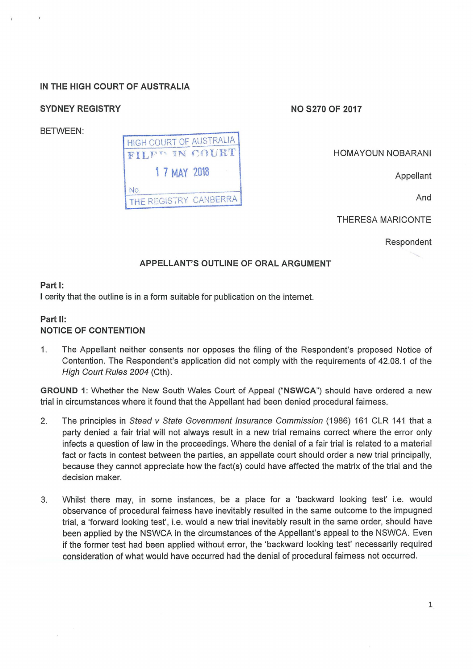# IN THE HIGH COURT OF AUSTRALIA

# SYDNEY REGISTRY NO S270 OF 2017

BETWEEN:



HOMA YOUN NOBARANI

Appellant

And

THERESA MARICONTE

Respondent

## APPELLANT'S OUTLINE OF ORAL ARGUMENT

### Part 1:

I cerity that the outline is in a form suitable for publication on the internet.

## Part 11: NOTICE OF CONTENTION

1. The Appellant neither consents nor opposes the filing of the Respondent's proposed Notice of Contention. The Respondent's application did not comply with the requirements of 42.08.1 of the High Court Rules 2004 (Cth).

GROUND 1: Whether the New South Wales Court of Appeal ("NSWCA") should have ordered a new trial in circumstances where it found that the Appellant had been denied procedural fairness.

- 2. The principles in Stead v State Government Insurance Commission (1986) 161 CLR 141 that a party denied a fair trial will not always result in a new trial remains correct where the error only infects a question of law in the proceedings. Where the denial of a fair trial is related to a material fact or facts in contest between the parties, an appellate court should order a new trial principally, because they cannot appreciate how the fact(s) could have affected the matrix of the trial and the decision maker.
- 3. Whilst there may, in some instances, be a place for a 'backward looking test' i.e. would observance of procedural fairness have inevitably resulted in the same outcome to the impugned trial, a 'forward looking test', i.e. would a new trial inevitably result in the same order, should have been applied by the NSWCA in the circumstances of the Appellant's appeal to the NSWCA. Even if the former test had been applied without error, the 'backward looking test' necessarily required consideration of what would have occurred had the denial of procedural fairness not occurred.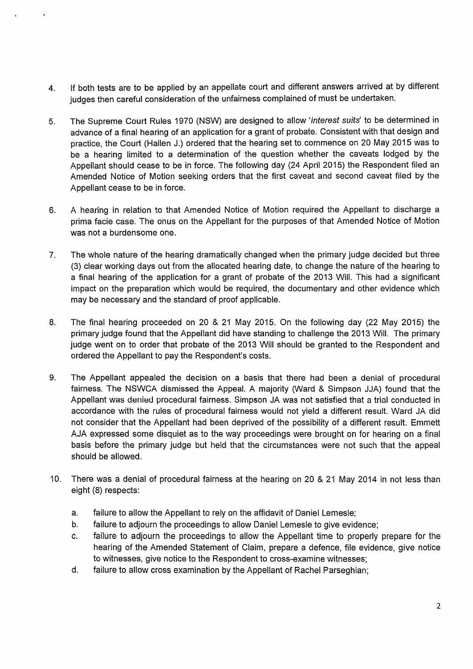- 4. If both tests are to be applied by an appellate court and different answers arrived at by different judges then careful consideration of the unfairness complained of must be undertaken.
- 5. The Supreme Court Rules 1970 (NSW) are designed to allow 'interest suits' to be determined in advance of a final hearing of an application for a grant of probate. Consistent with that design and practice, the Court (Hallen J.) ordered that the hearing set to commence on 20 May 2015 was to be a hearing limited to a determination of the question whether the caveats lodged by the Appellant should cease to be in force. The following day (24 April 2015) the Respondent filed an Amended Notice of Motion seeking orders that the first caveat and second caveat filed by the Appellant cease to be in force.
- 6. A hearing in relation to that Amended Notice of Motion required the Appellant to discharge a prima facie case. The onus on the Appellant for the purposes of that Amended Notice of Motion was not a burdensome one.
- 7. The whole nature of the hearing dramatically changed when the primary judge decided but three (3) clear working days out from the allocated hearing date, to change the nature of the hearing to a final hearing of the application for a grant of probate of the 2013 Will. This had a significant impact on the preparation which would be required, the documentary and other evidence which may be necessary and the standard of proof applicable.
- 8. The final hearing proceeded on 20 & 21 May 2015. On the following day (22 May 2015) the primary judge found that the Appellant did have standing to challenge the 2013 Will. The primary judge went on to order that probate of the 2013 Will should be granted to the Respondent and ordered the Appellant to pay the Respondent's costs.
- 9. The Appellant appealed the decision on a basis that there had been a denial of procedural fairness. The NSWCA dismissed the Appeal. A majority (Ward & Simpson JJA) found that the Appellant was denied procedural fairness. Simpson JA was not satisfied that a trial conducted in accordance with the rules of procedural fairness would not yield a different result. Ward JA did not consider that the Appellant had been deprived of the possibility of a different result. Emmett AJA expressed some disquiet as to the way proceedings were brought on for hearing on a final basis before the primary judge but held that the circumstances were not such that the appeal should be allowed.
- 10. There was a denial of procedural fairness at the hearing on 20 & 21 May 2014 in not less than eight (8) respects:
	- a. failure to allow the Appellant to rely on the affidavit of Daniel Lemesle;
	- b. failure to adjourn the proceedings to allow Daniel Lemesle to give evidence;
	- c. failure to adjourn the proceedings to allow the Appellant time to properly prepare for the hearing of the Amended Statement of Claim, prepare a defence, file evidence, give notice to witnesses, give notice to the Respondent to cross-examine witnesses;
	- d. failure to allow cross examination by the Appellant of Rachel Parseghian;